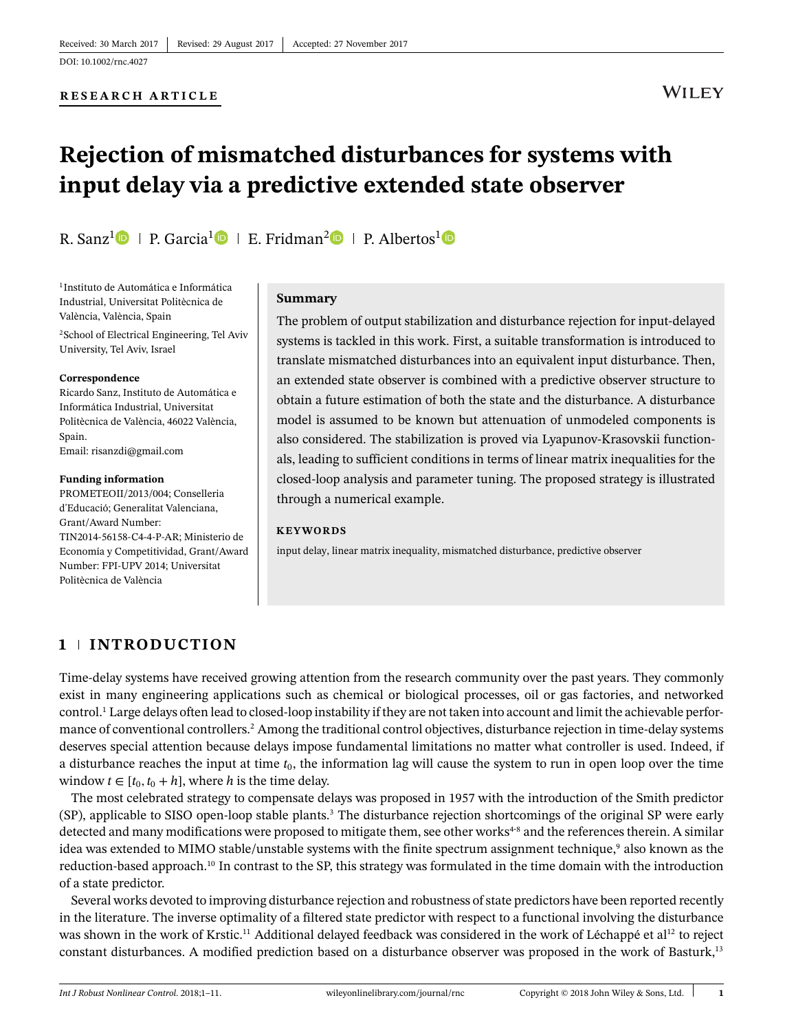#### <span id="page-0-0"></span>**RESEARCH ARTICLE**

## **WILEY**

# **Rejection of mismatched disturbances for systems with input delay via a predictive extended state observer**

R. Sanz<sup>[1](http://orcid.org/0000-0002-7277-5927)</sup> P. Garcia<sup>1</sup> P. Fridman<sup>[2](https://orcid.org/0000-0002-8773-9494)</sup> P. Albertos<sup>1</sup> P.

1Instituto de Automática e Informática Industrial, Universitat Politècnica de València, València, Spain

<sup>2</sup>School of Electrical Engineering, Tel Aviv University, Tel Aviv, Israel

#### **Correspondence**

Ricardo Sanz, Instituto de Automática e Informática Industrial, Universitat Politècnica de València, 46022 València, Spain. Email: risanzdi@gmail.com

#### **Funding information**

PROMETEOII/2013/004; Conselleria d'Educació; Generalitat Valenciana, Grant/Award Number: TIN2014-56158-C4-4-P-AR; Ministerio de Economía y Competitividad, Grant/Award Number: FPI-UPV 2014; Universitat Politècnica de València

#### **Summary**

The problem of output stabilization and disturbance rejection for input-delayed systems is tackled in this work. First, a suitable transformation is introduced to translate mismatched disturbances into an equivalent input disturbance. Then, an extended state observer is combined with a predictive observer structure to obtain a future estimation of both the state and the disturbance. A disturbance model is assumed to be known but attenuation of unmodeled components is also considered. The stabilization is proved via Lyapunov-Krasovskii functionals, leading to sufficient conditions in terms of linear matrix inequalities for the closed-loop analysis and parameter tuning. The proposed strategy is illustrated through a numerical example.

#### **KEYWORDS**

input delay, linear matrix inequality, mismatched disturbance, predictive observer

## **1 INTRODUCTION**

Time-delay systems have received growing attention from the research community over the past years. They commonly exist in many engineering applications such as chemical or biological processes, oil or gas factories, and networked control.<sup>1</sup> Large delays often lead to closed-loop instability if they are not taken into account and limit the achievable performance of conventional controllers.<sup>2</sup> Among the traditional control objectives, disturbance rejection in time-delay systems deserves special attention because delays impose fundamental limitations no matter what controller is used. Indeed, if a disturbance reaches the input at time *t*0, the information lag will cause the system to run in open loop over the time window  $t \in [t_0, t_0 + h]$ , where *h* is the time delay.

The most celebrated strategy to compensate delays was proposed in 1957 with the introduction of the Smith predictor (SP), applicable to SISO open-loop stable plants[.3](#page-8-2) The disturbance rejection shortcomings of the original SP were early detected and many modifications were proposed to mitigate them, see other works<sup>4-[8](#page-8-4)</sup> and the references therein. A similar idea was extended to MIMO stable/unstable systems with the finite spectrum assignment technique,<sup>9</sup> also known as the reduction-based approach[.10](#page-8-6) In contrast to the SP, this strategy was formulated in the time domain with the introduction of a state predictor.

Several works devoted to improving disturbance rejection and robustness of state predictors have been reported recently in the literature. The inverse optimality of a filtered state predictor with respect to a functional involving the disturbance was shown in the work of Krstic.<sup>11</sup> Additional delayed feedback was considered in the work of Léchappé et al<sup>12</sup> to reject constant disturbances. A modified prediction based on a disturbance observer was proposed in the work of Basturk[,13](#page-8-9)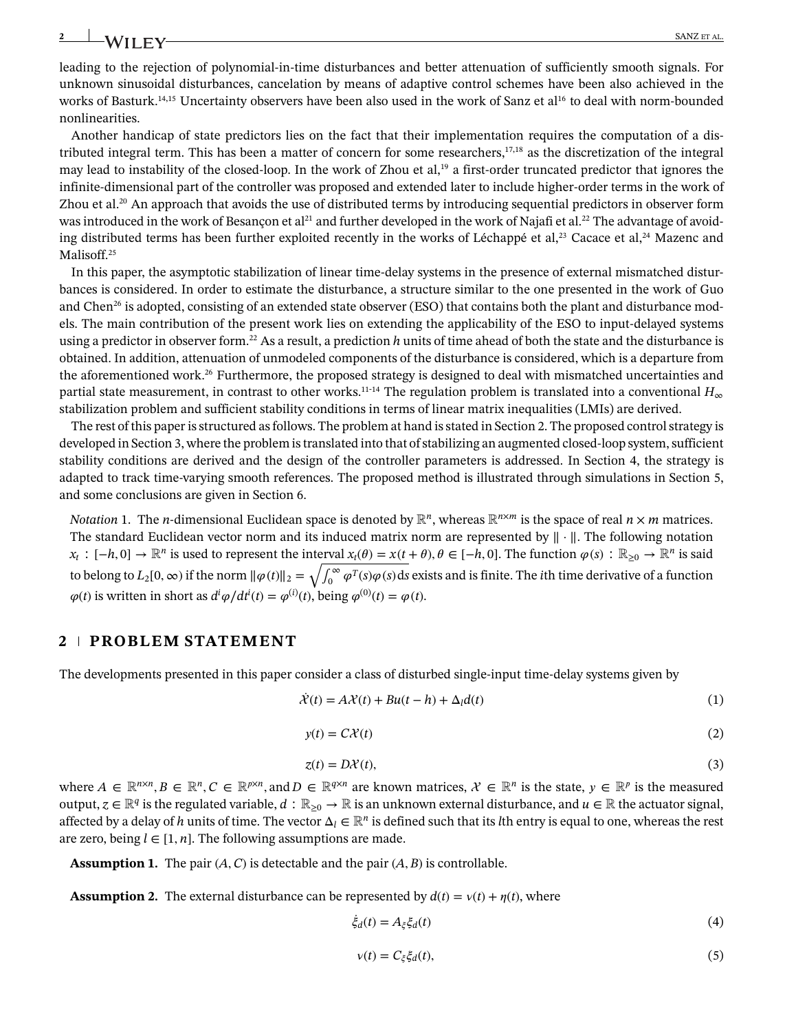leading to the rejection of polynomial-in-time disturbances and better attenuation of sufficiently smooth signals. For unknown sinusoidal disturbances, cancelation by means of adaptive control schemes have been also achieved in the works of Basturk.<sup>14,[15](#page-8-11)</sup> Uncertainty observers have been also used in the work of Sanz et al<sup>16</sup> to deal with norm-bounded nonlinearities.

Another handicap of state predictors lies on the fact that their implementation requires the computation of a distributed integral term. This has been a matter of concern for some researchers,  $17,18$  $17,18$  as the discretization of the integral may lead to instability of the closed-loop. In the work of Zhou et al,<sup>19</sup> a first-order truncated predictor that ignores the infinite-dimensional part of the controller was proposed and extended later to include higher-order terms in the work of Zhou et al. $^{20}$  An approach that avoids the use of distributed terms by introducing sequential predictors in observer form was introduced in the work of Besançon et al<sup>21</sup> and further developed in the work of Najafi et al.<sup>22</sup> The advantage of avoiding distributed terms has been further exploited recently in the works of Léchappé et al,<sup>23</sup> Cacace et al,<sup>24</sup> Mazenc and Malisoff.<sup>25</sup>

In this paper, the asymptotic stabilization of linear time-delay systems in the presence of external mismatched disturbances is considered. In order to estimate the disturbance, a structure similar to the one presented in the work of Guo and Chen<sup>26</sup> is adopted, consisting of an extended state observer (ESO) that contains both the plant and disturbance models. The main contribution of the present work lies on extending the applicability of the ESO to input-delayed systems using a predictor in observer form[.22](#page-9-0) As a result, a prediction *h* units of time ahead of both the state and the disturbance is obtained. In addition, attenuation of unmodeled components of the disturbance is considered, which is a departure from the aforementioned work[.26](#page-9-4) Furthermore, the proposed strategy is designed to deal with mismatched uncertainties and partial state measurement, in contrast to other works.<sup>11[-14](#page-8-10)</sup> The regulation problem is translated into a conventional  $H_{\infty}$ stabilization problem and sufficient stability conditions in terms of linear matrix inequalities (LMIs) are derived.

The rest of this paper is structured as follows. The problem at hand is stated in Section 2. The proposed control strategy is developed in Section 3, where the problem is translated into that of stabilizing an augmented closed-loop system, sufficient stability conditions are derived and the design of the controller parameters is addressed. In Section 4, the strategy is adapted to track time-varying smooth references. The proposed method is illustrated through simulations in Section 5, and some conclusions are given in Section 6.

<span id="page-1-0"></span>*Notation* [1.](#page-1-0) The *n*-dimensional Euclidean space is denoted by  $\mathbb{R}^n$ , whereas  $\mathbb{R}^{n \times m}$  is the space of real  $n \times m$  matrices. The standard Euclidean vector norm and its induced matrix norm are represented by  $\|\cdot\|$ . The following notation  $x_t : [-h, 0] \to \mathbb{R}^n$  is used to represent the interval  $x_t(\theta) = x(t + \theta), \theta \in [-h, 0]$ . The function  $\varphi(s) : \mathbb{R}_{\geq 0} \to \mathbb{R}^n$  is said to belong to  $L_2[0,\infty)$  if the norm  $\|\varphi(t)\|_2=\sqrt{\int_0^\infty \varphi^T(s)\varphi(s)}$  ds exists and is finite. The *i*th time derivative of a function  $\varphi(t)$  is written in short as  $d^i \varphi/dt^i(t) = \varphi^{(i)}(t)$ , being  $\varphi^{(0)}(t) = \varphi(t)$ .

## **2 PROBLEM STATEMENT**

<span id="page-1-6"></span>The developments presented in this paper consider a class of disturbed single-input time-delay systems given by

$$
\dot{\mathcal{X}}(t) = A\mathcal{X}(t) + Bu(t - h) + \Delta_l d(t)
$$
\n(1)

<span id="page-1-5"></span>
$$
y(t) = C\mathcal{X}(t) \tag{2}
$$

$$
z(t) = D\mathcal{X}(t),\tag{3}
$$

<span id="page-1-7"></span>where  $A \in \mathbb{R}^{n \times n}, B \in \mathbb{R}^{n}, C \in \mathbb{R}^{p \times n}$ , and  $D \in \mathbb{R}^{q \times n}$  are known matrices,  $\mathcal{X} \in \mathbb{R}^{n}$  is the state,  $y \in \mathbb{R}^{p}$  is the measured output, *z* ∈ R*<sup>q</sup>* is the regulated variable, *d* ∶ R<sup>≥</sup><sup>0</sup> → R is an unknown external disturbance, and *u* ∈ R the actuator signal, affected by a delay of h units of time. The vector  $\Delta_l \in \mathbb{R}^n$  is defined such that its *l*th entry is equal to one, whereas the rest are zero, being  $l \in [1, n]$ . The following assumptions are made.

<span id="page-1-1"></span>**Assumption [1.](#page-1-1)** The pair  $(A, C)$  is detectable and the pair  $(A, B)$  is controllable.

<span id="page-1-3"></span><span id="page-1-2"></span>**Assumption [2.](#page-1-2)** The external disturbance can be represented by  $d(t) = v(t) + \eta(t)$ , where

$$
\dot{\xi}_d(t) = A_{\xi} \xi_d(t) \tag{4}
$$

<span id="page-1-4"></span>
$$
v(t) = C_{\xi} \xi_d(t),\tag{5}
$$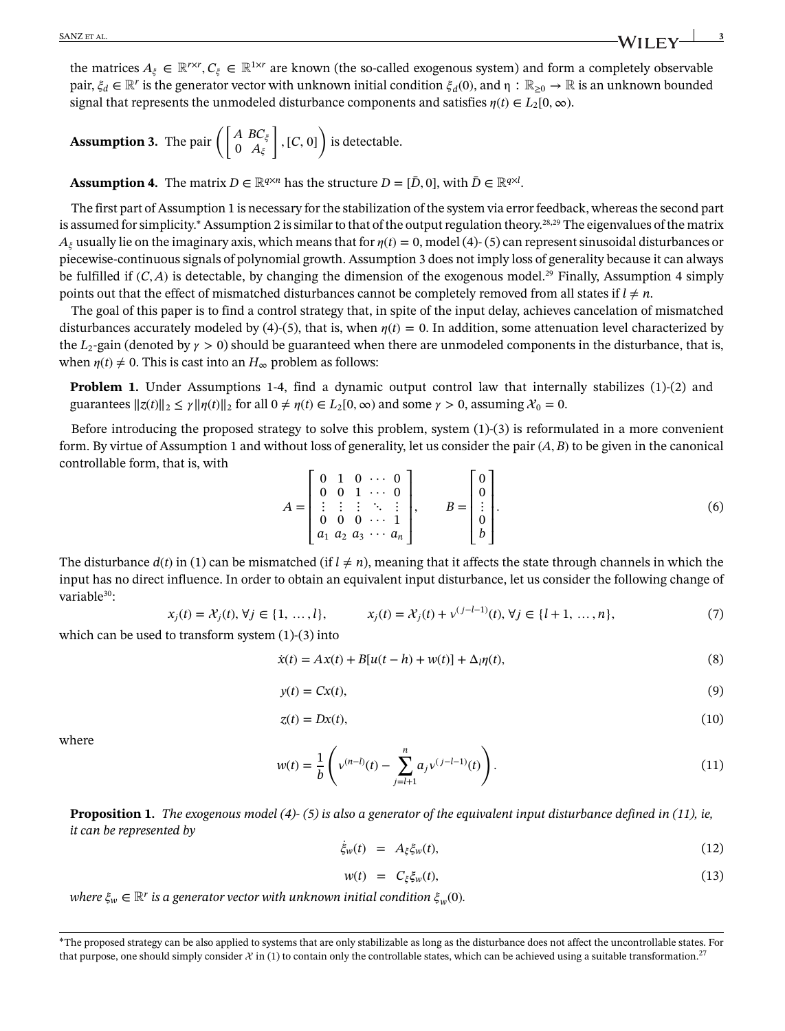the matrices  $A_{\xi} \in \mathbb{R}^{r \times r}$ ,  $C_{\xi} \in \mathbb{R}^{1 \times r}$  are known (the so-called exogenous system) and form a completely observable pair,  $\xi_d \in \mathbb{R}^r$  is the generator vector with unknown initial condition  $\xi_d(0)$ , and  $\eta : \mathbb{R}_{\geq 0} \to \mathbb{R}$  is an unknown bounded signal that represents the unmodeled disturbance components and satisfies  $\eta(t) \in L_2[0,\infty)$ .

<span id="page-2-0"></span>**Assumption 3.** The pair 
$$
\left( \begin{bmatrix} A & BC_{\xi} \\ 0 & A_{\xi} \end{bmatrix}, [C, 0] \right)
$$
 is detectable.

<span id="page-2-1"></span>**Assumption [4.](#page-2-1)** The matrix  $D \in \mathbb{R}^{q \times n}$  has the structure  $D = [\bar{D}, 0]$ , with  $\bar{D} \in \mathbb{R}^{q \times l}$ .

The first part of Assumption [1](#page-1-1) is necessary for the stabilization of the system via error feedback, whereas the second part is assumed for simplicity[.\\*](#page-2-2) Assumption [2](#page-1-3) is similar to that of the output regulation theory.<sup>28,[29](#page-9-6)</sup> The eigenvalues of the matrix  $A_{\xi}$  usually lie on the imaginary axis, which means that for  $\eta(t) = 0$ , model [\(4\)](#page-1-4)- [\(5\)](#page-1-3) can represent sinusoidal disturbances or piecewise-continuous signals of polynomial growth. Assumption [3](#page-2-0) does not imply loss of generality because it can always be fulfilled if  $(C, A)$  is detectable, by changing the dimension of the exogenous model.<sup>29</sup> Finally, Assumption [4](#page-2-1) simply points out that the effect of mismatched disturbances cannot be completely removed from all states if  $l \neq n$ .

The goal of this paper is to find a control strategy that, in spite of the input delay, achieves cancelation of mismatched disturbances accurately modeled by [\(4\)](#page-1-4)-[\(5\)](#page-1-3), that is, when  $\eta(t) = 0$ . In addition, some attenuation level characterized by the  $L_2$ -gain (denoted by  $\gamma > 0$ ) should be guaranteed when there are unmodeled components in the disturbance, that is, when  $\eta(t) \neq 0$ . This is cast into an  $H_{\infty}$  problem as follows:

<span id="page-2-3"></span>**Problem [1.](#page-2-3)** Under Assumptions [1-](#page-1-1)[4,](#page-2-1) find a dynamic output control law that internally stabilizes [\(1\)](#page-1-5)-[\(2\)](#page-1-6) and guarantees  $||z(t)||_2 \le \gamma ||\eta(t)||_2$  for all  $0 \ne \eta(t) \in L_2[0, \infty)$  and some  $\gamma > 0$ , assuming  $\mathcal{X}_0 = 0$ .

Before introducing the proposed strategy to solve this problem, system [\(1\)](#page-1-5)-[\(3\)](#page-1-7) is reformulated in a more convenient form. By virtue of Assumption [1](#page-1-1) and without loss of generality, let us consider the pair (*A, B*) to be given in the canonical controllable form, that is, with

$$
A = \begin{bmatrix} 0 & 1 & 0 & \cdots & 0 \\ 0 & 0 & 1 & \cdots & 0 \\ \vdots & \vdots & \vdots & \ddots & \vdots \\ 0 & 0 & 0 & \cdots & 1 \\ a_1 & a_2 & a_3 & \cdots & a_n \end{bmatrix}, \qquad B = \begin{bmatrix} 0 \\ 0 \\ \vdots \\ 0 \\ b \end{bmatrix}.
$$
 (6)

The disturbance  $d(t)$  in [\(1\)](#page-1-5) can be mismatched (if  $l \neq n$ ), meaning that it affects the state through channels in which the input has no direct influence. In order to obtain an equivalent input disturbance, let us consider the following change of variable<sup>30</sup>:

<span id="page-2-6"></span>
$$
x_j(t) = \mathcal{X}_j(t), \forall j \in \{1, ..., l\}, \qquad x_j(t) = \mathcal{X}_j(t) + \nu^{(j-l-1)}(t), \forall j \in \{l+1, ..., n\},\tag{7}
$$

<span id="page-2-11"></span>which can be used to transform system [\(1\)](#page-1-5)-[\(3\)](#page-1-7) into

<span id="page-2-7"></span>
$$
\dot{x}(t) = Ax(t) + B[u(t-h) + w(t)] + \Delta_l \eta(t),
$$
\n(8)

$$
y(t) = Cx(t),
$$
\n(9)

$$
z(t) = Dx(t),\tag{10}
$$

<span id="page-2-8"></span><span id="page-2-5"></span>where

<span id="page-2-9"></span>
$$
w(t) = \frac{1}{b} \left( v^{(n-l)}(t) - \sum_{j=l+1}^{n} a_j v^{(j-l-1)}(t) \right).
$$
\n(11)

<span id="page-2-4"></span>**Proposition [1.](#page-2-4)** *The exogenous model [\(4\)](#page-1-4)- [\(5\)](#page-1-3) is also a generator of the equivalent input disturbance defined in [\(11\)](#page-2-5), ie, it can be represented by*

$$
\dot{\xi}_w(t) = A_{\xi} \xi_w(t), \qquad (12)
$$

$$
w(t) = C_{\xi} \xi_w(t), \qquad (13)
$$

<span id="page-2-10"></span>*where*  $\xi_w \in \mathbb{R}^r$  *is a generator vector with unknown initial condition*  $\xi_w(0)$ *.* 

<span id="page-2-2"></span><sup>\*</sup>The proposed strategy can be also applied to systems that are only stabilizable as long as the disturbance does not affect the uncontrollable states. For that purpose, one should simply consider  $\mathcal{X}$  in [\(1\)](#page-1-5) to contain only the controllable states, which can be achieved using a suitable transformation.<sup>[27](#page-9-8)</sup>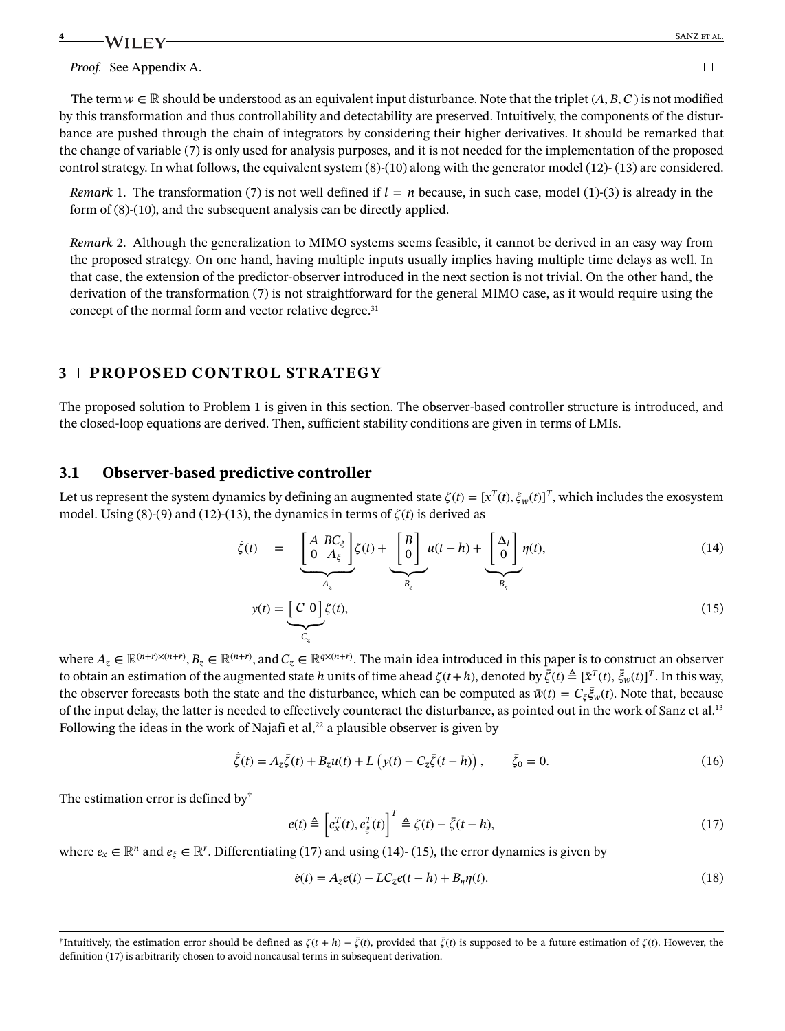$\Box$ 

*Proof.* See Appendix A.

The term  $w \in \mathbb{R}$  should be understood as an equivalent input disturbance. Note that the triplet  $(A, B, C)$  is not modified by this transformation and thus controllability and detectability are preserved. Intuitively, the components of the disturbance are pushed through the chain of integrators by considering their higher derivatives. It should be remarked that the change of variable [\(7\)](#page-2-6) is only used for analysis purposes, and it is not needed for the implementation of the proposed control strategy. In what follows, the equivalent system [\(8\)](#page-2-7)-[\(10\)](#page-2-8) along with the generator model [\(12\)](#page-2-9)- [\(13\)](#page-2-10) are considered.

<span id="page-3-0"></span>*Remark* [1.](#page-3-0) The transformation [\(7\)](#page-2-6) is not well defined if  $l = n$  because, in such case, model [\(1\)](#page-1-5)-[\(3\)](#page-1-7) is already in the form of [\(8\)](#page-2-7)-[\(10\)](#page-2-8), and the subsequent analysis can be directly applied.

<span id="page-3-1"></span>*Remark* [2.](#page-3-1) Although the generalization to MIMO systems seems feasible, it cannot be derived in an easy way from the proposed strategy. On one hand, having multiple inputs usually implies having multiple time delays as well. In that case, the extension of the predictor-observer introduced in the next section is not trivial. On the other hand, the derivation of the transformation [\(7\)](#page-2-6) is not straightforward for the general MIMO case, as it would require using the concept of the normal form and vector relative degree.<sup>31</sup>

## **3 PROPOSED CONTROL STRATEGY**

The proposed solution to Problem [1](#page-2-3) is given in this section. The observer-based controller structure is introduced, and the closed-loop equations are derived. Then, sufficient stability conditions are given in terms of LMIs.

## **3.1 Observer-based predictive controller**

Let us represent the system dynamics by defining an augmented state  $\zeta(t)=[x^T(t), \xi_w(t)]^T$ , which includes the exosystem model. Using [\(8\)](#page-2-7)-[\(9\)](#page-2-11) and [\(12\)](#page-2-9)-[\(13\)](#page-2-10), the dynamics in terms of  $\zeta(t)$  is derived as

<span id="page-3-4"></span>
$$
\dot{\zeta}(t) = \underbrace{\begin{bmatrix} A & BC_{\xi} \\ 0 & A_{\xi} \end{bmatrix}}_{A_{\xi}} \zeta(t) + \underbrace{\begin{bmatrix} B \\ 0 \end{bmatrix}}_{B_{\xi}} u(t-h) + \underbrace{\begin{bmatrix} \Delta_l \\ 0 \end{bmatrix}}_{B_{\eta}} \eta(t), \qquad (14)
$$

$$
y(t) = \underbrace{\left[C \ 0\right]}_{C_z} \zeta(t),\tag{15}
$$

<span id="page-3-5"></span>where  $A_z \in \mathbb{R}^{(n+r)\times (n+r)}$ ,  $B_z \in \mathbb{R}^{(n+r)}$ , and  $C_z \in \mathbb{R}^{q\times (n+r)}$ . The main idea introduced in this paper is to construct an observer to obtain an estimation of the augmented state *h* units of time ahead  $\zeta(t+h)$ , denoted by  $\bar{\zeta}(t) \triangleq [\bar{x}^T(t), \bar{\xi}_w(t)]^T$ . In this way, the observer forecasts both the state and the disturbance, which can be computed as  $\bar{w}(t) = C_{\xi} \bar{\xi}_w(t)$ . Note that, because of the input delay, the latter is needed to effectively counteract the disturbance, as pointed out in the work of Sanz et al[.13](#page-8-9) Following the ideas in the work of Najafi et al, $22$  a plausible observer is given by

$$
\dot{\bar{\zeta}}(t) = A_z \bar{\zeta}(t) + B_z u(t) + L \left( y(t) - C_z \bar{\zeta}(t - h) \right), \qquad \bar{\zeta}_0 = 0.
$$
\n(16)

The estimation error is defined b[y†](#page-3-2)

<span id="page-3-7"></span><span id="page-3-3"></span>
$$
e(t) \triangleq \left[e_x^T(t), e_{\xi}^T(t)\right]^T \triangleq \zeta(t) - \bar{\zeta}(t-h),\tag{17}
$$

where  $e_x \in \mathbb{R}^n$  and  $e_{\xi} \in \mathbb{R}^r$ . Differentiating [\(17\)](#page-3-3) and using [\(14\)](#page-3-4)- [\(15\)](#page-3-5), the error dynamics is given by

<span id="page-3-6"></span>
$$
\dot{e}(t) = A_z e(t) - LC_z e(t - h) + B_\eta \eta(t). \tag{18}
$$

<span id="page-3-2"></span><sup>&</sup>lt;sup>†</sup>Intuitively, the estimation error should be defined as  $\zeta(t + h) - \bar{\zeta}(t)$ , provided that  $\bar{\zeta}(t)$  is supposed to be a future estimation of  $\zeta(t)$ . However, the definition [\(17\)](#page-3-3) is arbitrarily chosen to avoid noncausal terms in subsequent derivation.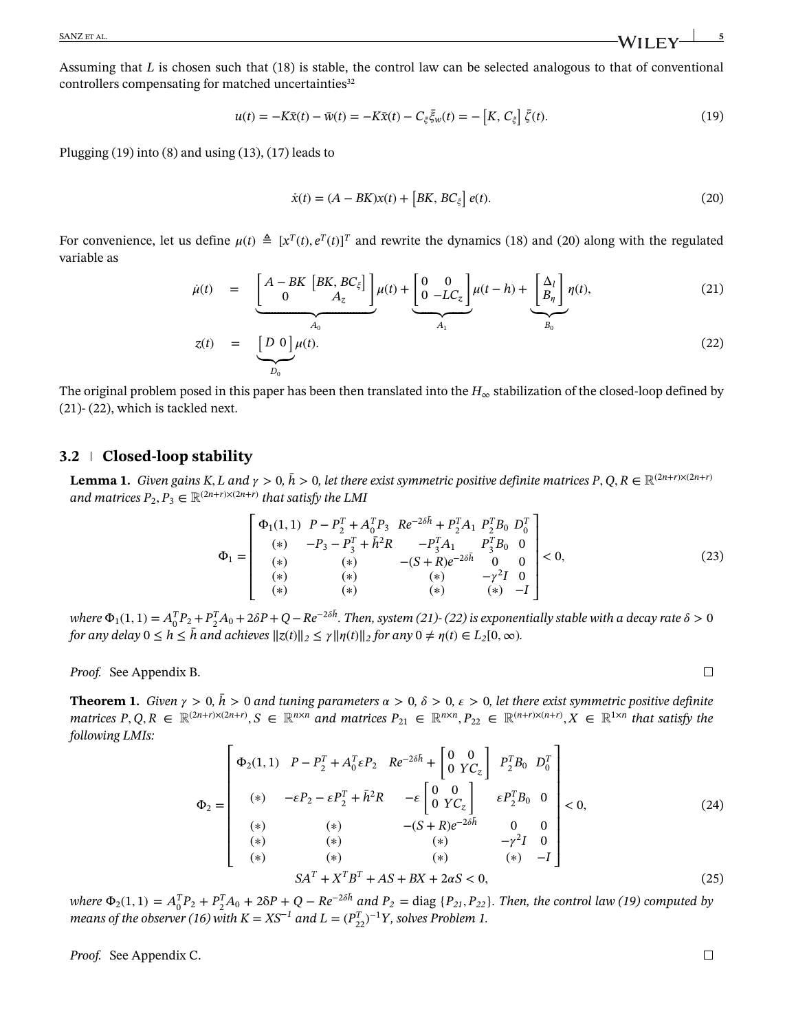Assuming that *L* is chosen such that [\(18\)](#page-3-6) is stable, the control law can be selected analogous to that of conventional controllers compensating for matched uncertainties<sup>32</sup>

$$
u(t) = -K\bar{x}(t) - \bar{w}(t) = -K\bar{x}(t) - C_{\xi}\bar{\xi}_{w}(t) = -\left[K, C_{\xi}\right]\bar{\zeta}(t). \tag{19}
$$

Plugging  $(19)$  into  $(8)$  and using  $(13)$ ,  $(17)$  leads to

<span id="page-4-1"></span><span id="page-4-0"></span>
$$
\dot{x}(t) = (A - BK)x(t) + [BK, BC_{\xi}]e(t).
$$
\n(20)

<span id="page-4-2"></span>For convenience, let us define  $\mu(t) \triangleq [x^T(t), e^T(t)]^T$  and rewrite the dynamics [\(18\)](#page-3-6) and [\(20\)](#page-4-1) along with the regulated variable as

$$
\dot{\mu}(t) = \underbrace{\begin{bmatrix} A - BK \begin{bmatrix} BK, BC_{\xi} \end{bmatrix} \end{bmatrix}}_{A_{\zeta}} \mu(t) + \underbrace{\begin{bmatrix} 0 & 0 \\ 0 & -LC_{\zeta} \end{bmatrix}}_{\text{}} \mu(t-h) + \underbrace{\begin{bmatrix} \Delta_l \\ B_{\eta} \end{bmatrix}}_{\text{}} \eta(t), \tag{21}
$$

$$
z(t) = \underbrace{\begin{bmatrix} D & 0 \end{bmatrix}}_{D_0} \mu(t). \tag{22}
$$

<span id="page-4-3"></span>The original problem posed in this paper has been then translated into the *H*<sup>∞</sup> stabilization of the closed-loop defined by [\(21\)](#page-4-2)- [\(22\)](#page-4-3), which is tackled next.

#### **3.2 Closed-loop stability**

<span id="page-4-4"></span>**Lemma [1.](#page-4-4)** Given gains K, L and  $\gamma > 0$ ,  $\bar{h} > 0$ , let there exist symmetric positive definite matrices P, Q, R  $\in \mathbb{R}^{(2n+r)\times(2n+r)}$ *and matrices*  $P_2, P_3 \in \mathbb{R}^{(2n+r)\times(2n+r)}$  *that satisfy the LMI* 

<span id="page-4-8"></span>
$$
\Phi_{1} = \begin{bmatrix}\n\Phi_{1}(1,1) & P - P_{2}^{T} + A_{0}^{T}P_{3} & Re^{-2\delta\bar{h}} + P_{2}^{T}A_{1} & P_{2}^{T}B_{0} & D_{0}^{T} \\
(*) & -P_{3} - P_{3}^{T} + \bar{h}^{2}R & -P_{3}^{T}A_{1} & P_{3}^{T}B_{0} & 0 \\
(*) & (*) & -(S + R)e^{-2\delta\bar{h}} & 0 & 0 \\
(*) & (*) & (*) & (*) & -\gamma^{2}I & 0 \\
(*) & (*) & (*) & (*) & -I\n\end{bmatrix} < 0,
$$
\n(23)

where  $\Phi_1(1,1) = A_0^T P_2 + P_2^T A_0 + 2\delta P + Q - Re^{-2\delta \bar{h}}$ . Then, system [\(21\)](#page-4-2)- [\(22\)](#page-4-3) is exponentially stable with a decay rate  $\delta > 0$ *for any delay*  $0 \le h \le \bar{h}$  *and achieves*  $||z(t)||_2 \le \gamma ||\eta(t)||_2$  *for any*  $0 \ne \eta(t) \in L_2[0, \infty)$ *.* 

*Proof.* See Appendix B.

<span id="page-4-5"></span>**Theorem [1.](#page-4-5)** Given  $\gamma > 0$ ,  $\bar{h} > 0$  and tuning parameters  $\alpha > 0$ ,  $\delta > 0$ ,  $\epsilon > 0$ , let there exist symmetric positive definite matrices  $P,Q,R \in \mathbb{R}^{(2n+r)\times (2n+r)}$ ,  $S \in \mathbb{R}^{n\times n}$  and matrices  $P_{21} \in \mathbb{R}^{n\times n}$ ,  $P_{22} \in \mathbb{R}^{(n+r)\times (n+r)}$ ,  $X \in \mathbb{R}^{1\times n}$  that satisfy the *following LMIs:*  $\overline{a}$  $\overline{a}$ 

<span id="page-4-7"></span>
$$
\Phi_{2} = \begin{bmatrix}\n\Phi_{2}(1,1) & P - P_{2}^{T} + A_{0}^{T} \varepsilon P_{2} & Re^{-2\delta\tilde{h}} + \begin{bmatrix} 0 & 0 \\ 0 & Y C_{z} \end{bmatrix} & P_{2}^{T} B_{0} & D_{0}^{T} \\
(\ast) & -\varepsilon P_{2} - \varepsilon P_{2}^{T} + \bar{h}^{2} R & -\varepsilon \begin{bmatrix} 0 & 0 \\ 0 & Y C_{z} \end{bmatrix} & \varepsilon P_{2}^{T} B_{0} & 0 \\
(\ast) & (\ast) & - (S + R)e^{-2\delta\tilde{h}} & 0 & 0 \\
(\ast) & (\ast) & (\ast) & -\gamma^{2} I & 0 \\
(\ast) & (\ast) & (\ast) & (\ast) & -I\n\end{bmatrix} < 0,
$$
\n(24)

<span id="page-4-6"></span>where  $\Phi_2(1,1) = A_0^T P_2 + P_2^T A_0 + 2\delta P + Q - Re^{-2\delta \bar{h}}$  and  $P_2$  = diag {P<sub>21</sub>, P<sub>22</sub>}. Then, the control law [\(19\)](#page-4-0) computed by *means of the observer* [\(16\)](#page-3-7) with  $K = XS^{-1}$  *and*  $L = (P_{22}^T)^{-1}Y$ *, solves Problem* [1.](#page-2-3)

*Proof.* See Appendix C.

 $\Box$ 

 $\Box$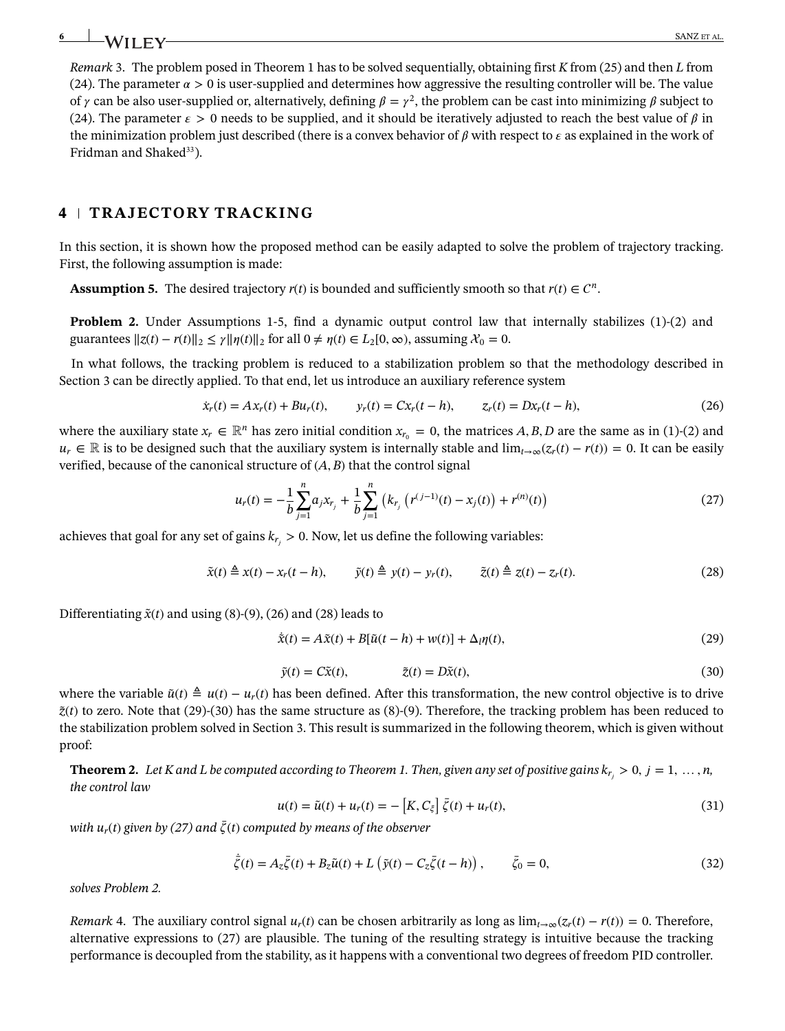<span id="page-5-0"></span>*Remark* [3.](#page-5-0) The problem posed in Theorem [1](#page-4-6) has to be solved sequentially, obtaining first *K* from [\(25\)](#page-4-6) and then *L* from [\(24\)](#page-4-7). The parameter  $\alpha > 0$  is user-supplied and determines how aggressive the resulting controller will be. The value of  $\gamma$  can be also user-supplied or, alternatively, defining  $\beta = \gamma^2$ , the problem can be cast into minimizing  $\beta$  subject to [\(24\)](#page-4-7). The parameter  $\varepsilon > 0$  needs to be supplied, and it should be iteratively adjusted to reach the best value of  $\beta$  in the minimization problem just described (there is a convex behavior of  $\beta$  with respect to  $\varepsilon$  as explained in the work of Fridman and Shaked<sup>33</sup>).

## **4 TRAJECTORY TRACKING**

In this section, it is shown how the proposed method can be easily adapted to solve the problem of trajectory tracking. First, the following assumption is made:

<span id="page-5-1"></span>**Assumption [5.](#page-5-1)** The desired trajectory  $r(t)$  is bounded and sufficiently smooth so that  $r(t) \in \mathbb{C}^n$ .

<span id="page-5-2"></span>**Problem [2.](#page-5-2)** Under Assumptions [1-](#page-1-1)[5,](#page-5-1) find a dynamic output control law that internally stabilizes [\(1\)](#page-1-5)-[\(2\)](#page-1-6) and guarantees  $||z(t) - r(t)||_2 \leq \gamma ||\eta(t)||_2$  for all  $0 \neq \eta(t) \in L_2[0, \infty)$ , assuming  $\mathcal{X}_0 = 0$ .

In what follows, the tracking problem is reduced to a stabilization problem so that the methodology described in Section 3 can be directly applied. To that end, let us introduce an auxiliary reference system

$$
\dot{x}_r(t) = Ax_r(t) + Bu_r(t), \qquad y_r(t) = Cx_r(t-h), \qquad z_r(t) = Dx_r(t-h), \tag{26}
$$

where the auxiliary state  $x_r \in \mathbb{R}^n$  has zero initial condition  $x_{r_0} = 0$ , the matrices *A*, *B*, *D* are the same as in [\(1\)](#page-1-5)-[\(2\)](#page-1-6) and *u<sub>r</sub>* ∈ ℝ is to be designed such that the auxiliary system is internally stable and  $\lim_{t\to\infty} (z_r(t) - r(t)) = 0$ . It can be easily verified, because of the canonical structure of (*A, B*) that the control signal

<span id="page-5-8"></span><span id="page-5-3"></span>
$$
u_r(t) = -\frac{1}{b} \sum_{j=1}^n a_j x_{r_j} + \frac{1}{b} \sum_{j=1}^n \left( k_{r_j} \left( r^{(j-1)}(t) - x_j(t) \right) + r^{(n)}(t) \right)
$$
(27)

achieves that goal for any set of gains  $k_{r_i} > 0$ . Now, let us define the following variables:

$$
\tilde{x}(t) \triangleq x(t) - x_r(t - h), \qquad \tilde{y}(t) \triangleq y(t) - y_r(t), \qquad \tilde{z}(t) \triangleq z(t) - z_r(t). \tag{28}
$$

Differentiating  $\tilde{x}(t)$  and using [\(8\)](#page-2-7)-[\(9\)](#page-2-11), [\(26\)](#page-5-3) and [\(28\)](#page-5-4) leads to

<span id="page-5-5"></span><span id="page-5-4"></span>
$$
\dot{\tilde{x}}(t) = A\tilde{x}(t) + B[\tilde{u}(t-h) + w(t)] + \Delta_l \eta(t),
$$
\n(29)

$$
\tilde{y}(t) = C\tilde{x}(t), \qquad \tilde{z}(t) = D\tilde{x}(t), \tag{30}
$$

<span id="page-5-6"></span>where the variable  $\tilde{u}(t) \triangleq u(t) - u_r(t)$  has been defined. After this transformation, the new control objective is to drive *z̃*(*t*) to zero. Note that [\(29\)](#page-5-5)-[\(30\)](#page-5-6) has the same structure as [\(8\)](#page-2-7)-[\(9\)](#page-2-11). Therefore, the tracking problem has been reduced to the stabilization problem solved in Section 3. This result is summarized in the following theorem, which is given without proof:

<span id="page-5-10"></span><span id="page-5-7"></span>**Theorem [2.](#page-5-7)** Let K and L be computed according to Theorem [1.](#page-4-6) Then, given any set of positive gains  $k_{r_i} > 0$ ,  $j = 1, ..., n$ , *the control law*

$$
u(t) = \tilde{u}(t) + u_r(t) = -\left[K, C_{\xi}\right] \bar{\zeta}(t) + u_r(t),
$$
\n(31)

with  $u_r(t)$  given by [\(27\)](#page-5-8) and  $\bar{\zeta}(t)$  computed by means of the observer

$$
\dot{\bar{\zeta}}(t) = A_{z}\bar{\zeta}(t) + B_{z}\tilde{u}(t) + L(\tilde{y}(t) - C_{z}\bar{\zeta}(t - h)), \qquad \bar{\zeta}_{0} = 0,
$$
\n(32)

*solves Problem [2.](#page-5-2)*

<span id="page-5-9"></span>*Remark* [4.](#page-5-9) The auxiliary control signal  $u_r(t)$  can be chosen arbitrarily as long as  $\lim_{t\to\infty} (z_r(t) - r(t)) = 0$ . Therefore, alternative expressions to [\(27\)](#page-5-8) are plausible. The tuning of the resulting strategy is intuitive because the tracking performance is decoupled from the stability, as it happens with a conventional two degrees of freedom PID controller.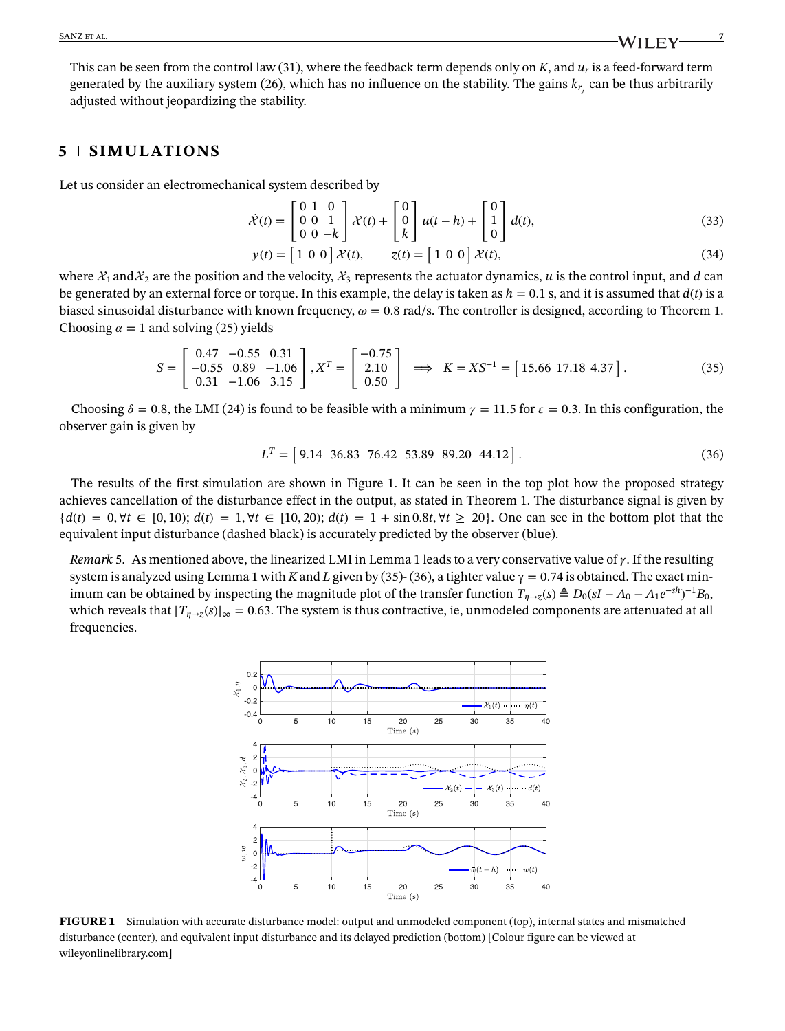This can be seen from the control law [\(31\)](#page-5-10), where the feedback term depends only on *K*, and *ur* is a feed-forward term generated by the auxiliary system [\(26\)](#page-5-3), which has no influence on the stability. The gains  $k_r$  can be thus arbitrarily adjusted without jeopardizing the stability.

## **5 SIMULATIONS**

Let us consider an electromechanical system described by

$$
\dot{\mathcal{X}}(t) = \begin{bmatrix} 0 & 1 & 0 \\ 0 & 0 & 1 \\ 0 & 0 & -k \end{bmatrix} \mathcal{X}(t) + \begin{bmatrix} 0 \\ 0 \\ k \end{bmatrix} u(t-h) + \begin{bmatrix} 0 \\ 1 \\ 0 \end{bmatrix} d(t),
$$
\n(33)

<span id="page-6-2"></span>
$$
y(t) = \begin{bmatrix} 1 & 0 & 0 \end{bmatrix} \mathcal{X}(t), \qquad z(t) = \begin{bmatrix} 1 & 0 & 0 \end{bmatrix} \mathcal{X}(t), \tag{34}
$$

where  $\mathcal{X}_1$  and  $\mathcal{X}_2$  are the position and the velocity,  $\mathcal{X}_3$  represents the actuator dynamics, *u* is the control input, and *d* can be generated by an external force or torque. In this example, the delay is taken as  $h = 0.1$  s, and it is assumed that  $d(t)$  is a biased sinusoidal disturbance with known frequency,  $\omega = 0.8$  rad/s. The controller is designed, according to Theorem [1.](#page-4-6) Choosing  $\alpha = 1$  and solving [\(25\)](#page-4-6) yields

$$
S = \begin{bmatrix} 0.47 & -0.55 & 0.31 \\ -0.55 & 0.89 & -1.06 \\ 0.31 & -1.06 & 3.15 \end{bmatrix}, X^T = \begin{bmatrix} -0.75 \\ 2.10 \\ 0.50 \end{bmatrix} \implies K = X S^{-1} = \begin{bmatrix} 15.66 & 17.18 & 4.37 \end{bmatrix}.
$$
 (35)

Choosing  $\delta = 0.8$ , the LMI [\(24\)](#page-4-7) is found to be feasible with a minimum  $\gamma = 11.5$  for  $\varepsilon = 0.3$ . In this configuration, the observer gain is given by

<span id="page-6-3"></span>
$$
LT = [9.14 \t36.83 \t76.42 \t53.89 \t89.20 \t44.12]. \t(36)
$$

The results of the first simulation are shown in Figure [1.](#page-6-0) It can be seen in the top plot how the proposed strategy achieves cancellation of the disturbance effect in the output, as stated in Theorem [1.](#page-4-6) The disturbance signal is given by  $\{d(t) = 0, \forall t \in [0, 10); d(t) = 1, \forall t \in [10, 20); d(t) = 1 + \sin 0.8t, \forall t \ge 20\}$ . One can see in the bottom plot that the equivalent input disturbance (dashed black) is accurately predicted by the observer (blue).

<span id="page-6-1"></span>*Remark* [5.](#page-6-1) As mentioned above, the linearized LMI in Lemma [1](#page-4-6) leads to a very conservative value of  $\gamma$ . If the resulting system is analyzed using Lemma [1](#page-4-8) with *K* and *L* given by [\(35\)](#page-6-2)- [\(36\)](#page-6-3), a tighter value  $\gamma = 0.74$  is obtained. The exact minimum can be obtained by inspecting the magnitude plot of the transfer function  $T_{\eta\to z}(s) \triangleq D_0(sI - A_0 - A_1e^{-sh})^{-1}B_0$ , which reveals that  $|T_{\eta\to z}(s)|_{\infty} = 0.63$ . The system is thus contractive, ie, unmodeled components are attenuated at all frequencies.



<span id="page-6-0"></span>**FIGURE 1** Simulation with accurate disturbance model: output and unmodeled component (top), internal states and mismatched disturbance (center), and equivalent input disturbance and its delayed prediction (bottom) [Colour figure can be viewed at [wileyonlinelibrary.com\]](http://wileyonlinelibrary.com)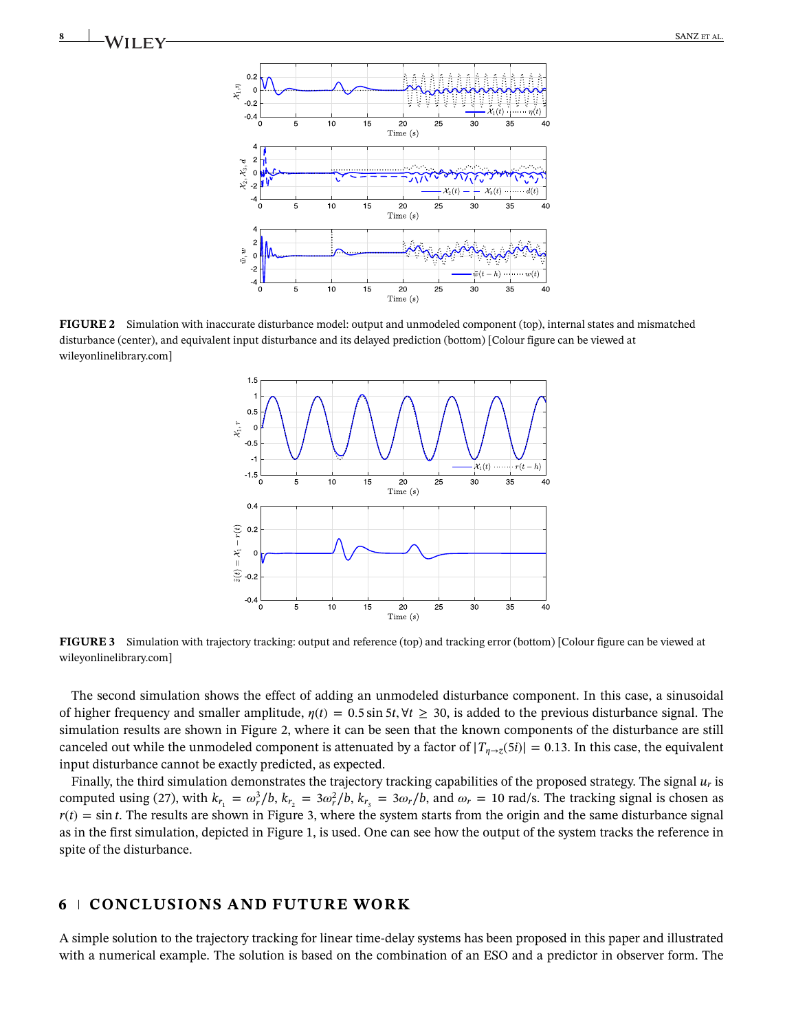**8** SANZ ET AL.



<span id="page-7-0"></span>**FIGURE 2** Simulation with inaccurate disturbance model: output and unmodeled component (top), internal states and mismatched disturbance (center), and equivalent input disturbance and its delayed prediction (bottom) [Colour figure can be viewed at [wileyonlinelibrary.com\]](http://wileyonlinelibrary.com)



<span id="page-7-1"></span>**FIGURE 3** Simulation with trajectory tracking: output and reference (top) and tracking error (bottom) [Colour figure can be viewed at [wileyonlinelibrary.com\]](http://wileyonlinelibrary.com)

The second simulation shows the effect of adding an unmodeled disturbance component. In this case, a sinusoidal of higher frequency and smaller amplitude,  $\eta(t) = 0.5 \sin 5t$ ,  $\forall t \geq 30$ , is added to the previous disturbance signal. The simulation results are shown in Figure [2,](#page-7-0) where it can be seen that the known components of the disturbance are still canceled out while the unmodeled component is attenuated by a factor of  $|T_{n\to z}(5i)| = 0.13$ . In this case, the equivalent input disturbance cannot be exactly predicted, as expected.

Finally, the third simulation demonstrates the trajectory tracking capabilities of the proposed strategy. The signal *ur* is computed using [\(27\)](#page-5-8), with  $k_{r_1} = \omega_r^3/b$ ,  $k_{r_2} = 3\omega_r^2/b$ ,  $k_{r_3} = 3\omega_r/b$ , and  $\omega_r = 10$  rad/s. The tracking signal is chosen as  $r(t) = \sin t$ . The results are shown in Figure [3,](#page-7-1) where the system starts from the origin and the same disturbance signal as in the first simulation, depicted in Figure [1,](#page-6-0) is used. One can see how the output of the system tracks the reference in spite of the disturbance.

## **6 CONCLUSIONS AND FUTURE WORK**

A simple solution to the trajectory tracking for linear time-delay systems has been proposed in this paper and illustrated with a numerical example. The solution is based on the combination of an ESO and a predictor in observer form. The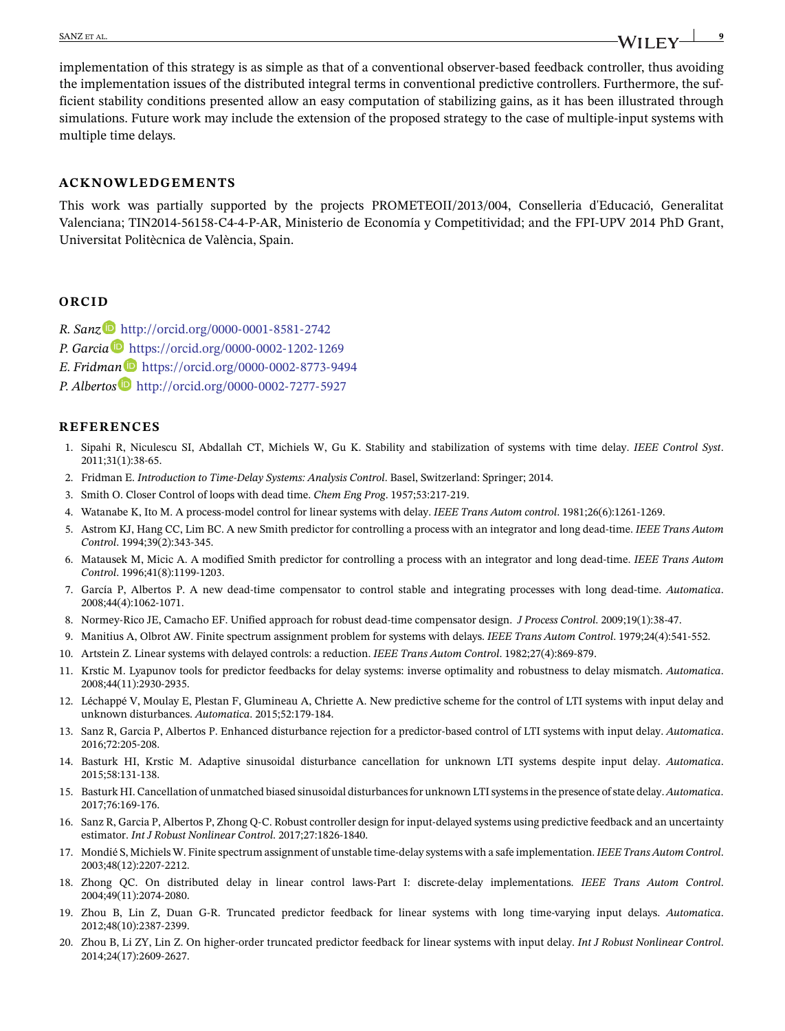## implementation of this strategy is as simple as that of a conventional observer-based feedback controller, thus avoiding the implementation issues of the distributed integral terms in conventional predictive controllers. Furthermore, the sufficient stability conditions presented allow an easy computation of stabilizing gains, as it has been illustrated through simulations. Future work may include the extension of the proposed strategy to the case of multiple-input systems with multiple time delays.

#### **ACKNOWLEDGEMENTS**

This work was partially supported by the projects PROMETEOII/2013/004, Conselleria d'Educació, Generalitat Valenciana; TIN2014-56158-C4-4-P-AR, Ministerio de Economía y Competitividad; and the FPI-UPV 2014 PhD Grant, Universitat Politècnica de València, Spain.

#### **ORCID**

- *R. Sanz* <http://orcid.org/0000-0001-8581-2742>
- *P. Garcia* <https://orcid.org/0000-0002-1202-1269>
- *E. Fridman* <https://orcid.org/0000-0002-8773-9494>
- *P. Alberto[s](http://orcid.org/0000-0002-7277-5927)* **b** <http://orcid.org/0000-0002-7277-5927>

#### **REFERENCES**

- <span id="page-8-0"></span>1. Sipahi R, Niculescu SI, Abdallah CT, Michiels W, Gu K. Stability and stabilization of systems with time delay. *IEEE Control Syst*. 2011;31(1):38-65.
- <span id="page-8-2"></span><span id="page-8-1"></span>2. Fridman E. *Introduction to Time-Delay Systems: Analysis Control*. Basel, Switzerland: Springer; 2014.
- <span id="page-8-3"></span>3. Smith O. Closer Control of loops with dead time. *Chem Eng Prog*. 1957;53:217-219.
- 4. Watanabe K, Ito M. A process-model control for linear systems with delay. *IEEE Trans Autom control*. 1981;26(6):1261-1269.
- 5. Astrom KJ, Hang CC, Lim BC. A new Smith predictor for controlling a process with an integrator and long dead-time. *IEEE Trans Autom Control*. 1994;39(2):343-345.
- 6. Matausek M, Micic A. A modified Smith predictor for controlling a process with an integrator and long dead-time. *IEEE Trans Autom Control*. 1996;41(8):1199-1203.
- 7. García P, Albertos P. A new dead-time compensator to control stable and integrating processes with long dead-time. *Automatica*. 2008;44(4):1062-1071.
- <span id="page-8-5"></span><span id="page-8-4"></span>8. Normey-Rico JE, Camacho EF. Unified approach for robust dead-time compensator design. *J Process Control*. 2009;19(1):38-47.
- <span id="page-8-6"></span>9. Manitius A, Olbrot AW. Finite spectrum assignment problem for systems with delays. *IEEE Trans Autom Control*. 1979;24(4):541-552.
- <span id="page-8-7"></span>10. Artstein Z. Linear systems with delayed controls: a reduction. *IEEE Trans Autom Control*. 1982;27(4):869-879.
- 11. Krstic M. Lyapunov tools for predictor feedbacks for delay systems: inverse optimality and robustness to delay mismatch. *Automatica*. 2008;44(11):2930-2935.
- <span id="page-8-8"></span>12. Léchappé V, Moulay E, Plestan F, Glumineau A, Chriette A. New predictive scheme for the control of LTI systems with input delay and unknown disturbances. *Automatica*. 2015;52:179-184.
- <span id="page-8-9"></span>13. Sanz R, Garcia P, Albertos P. Enhanced disturbance rejection for a predictor-based control of LTI systems with input delay. *Automatica*. 2016;72:205-208.
- <span id="page-8-10"></span>14. Basturk HI, Krstic M. Adaptive sinusoidal disturbance cancellation for unknown LTI systems despite input delay. *Automatica*. 2015;58:131-138.
- <span id="page-8-11"></span>15. Basturk HI. Cancellation of unmatched biased sinusoidal disturbances for unknown LTI systems in the presence of state delay.*Automatica*. 2017;76:169-176.
- <span id="page-8-12"></span>16. Sanz R, Garcia P, Albertos P, Zhong Q-C. Robust controller design for input-delayed systems using predictive feedback and an uncertainty estimator. *Int J Robust Nonlinear Control*. 2017;27:1826-1840.
- <span id="page-8-13"></span>17. Mondié S, Michiels W. Finite spectrum assignment of unstable time-delay systems with a safe implementation. *IEEE Trans Autom Control*. 2003;48(12):2207-2212.
- <span id="page-8-14"></span>18. Zhong QC. On distributed delay in linear control laws-Part I: discrete-delay implementations. *IEEE Trans Autom Control*. 2004;49(11):2074-2080.
- <span id="page-8-15"></span>19. Zhou B, Lin Z, Duan G-R. Truncated predictor feedback for linear systems with long time-varying input delays. *Automatica*. 2012;48(10):2387-2399.
- <span id="page-8-17"></span><span id="page-8-16"></span>20. Zhou B, Li ZY, Lin Z. On higher-order truncated predictor feedback for linear systems with input delay. *Int J Robust Nonlinear Control*. 2014;24(17):2609-2627.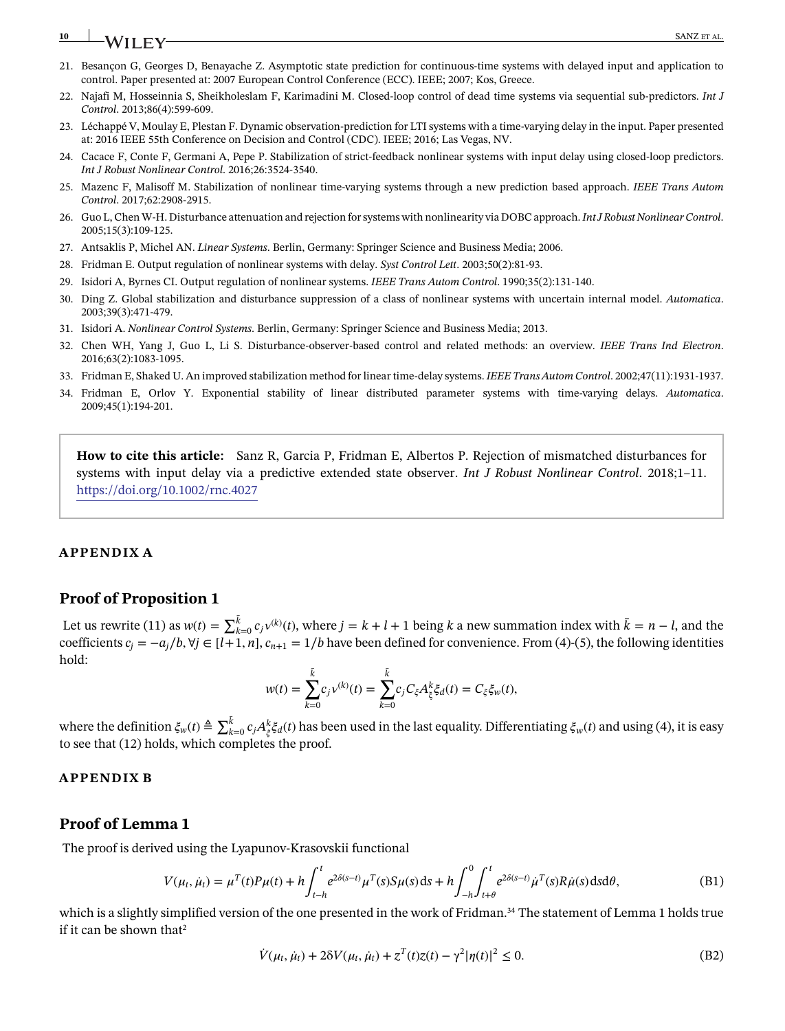## **10** SANZ ET AL.

- <span id="page-9-0"></span>21. Besançon G, Georges D, Benayache Z. Asymptotic state prediction for continuous-time systems with delayed input and application to control. Paper presented at: 2007 European Control Conference (ECC). IEEE; 2007; Kos, Greece.
- <span id="page-9-1"></span>22. Najafi M, Hosseinnia S, Sheikholeslam F, Karimadini M. Closed-loop control of dead time systems via sequential sub-predictors. *Int J Control*. 2013;86(4):599-609.
- <span id="page-9-2"></span>23. Léchappé V, Moulay E, Plestan F. Dynamic observation-prediction for LTI systems with a time-varying delay in the input. Paper presented at: 2016 IEEE 55th Conference on Decision and Control (CDC). IEEE; 2016; Las Vegas, NV.
- <span id="page-9-3"></span>24. Cacace F, Conte F, Germani A, Pepe P. Stabilization of strict-feedback nonlinear systems with input delay using closed-loop predictors. *Int J Robust Nonlinear Control*. 2016;26:3524-3540.
- <span id="page-9-4"></span>25. Mazenc F, Malisoff M. Stabilization of nonlinear time-varying systems through a new prediction based approach. *IEEE Trans Autom Control*. 2017;62:2908-2915.
- 26. Guo L, Chen W-H. Disturbance attenuation and rejection for systems with nonlinearity via DOBC approach.*Int J Robust Nonlinear Control*. 2005;15(3):109-125.
- <span id="page-9-8"></span><span id="page-9-5"></span>27. Antsaklis P, Michel AN. *Linear Systems*. Berlin, Germany: Springer Science and Business Media; 2006.
- <span id="page-9-6"></span>28. Fridman E. Output regulation of nonlinear systems with delay. *Syst Control Lett*. 2003;50(2):81-93.
- <span id="page-9-7"></span>29. Isidori A, Byrnes CI. Output regulation of nonlinear systems. *IEEE Trans Autom Control*. 1990;35(2):131-140.
- 30. Ding Z. Global stabilization and disturbance suppression of a class of nonlinear systems with uncertain internal model. *Automatica*. 2003;39(3):471-479.
- <span id="page-9-10"></span><span id="page-9-9"></span>31. Isidori A. *Nonlinear Control Systems*. Berlin, Germany: Springer Science and Business Media; 2013.
- 32. Chen WH, Yang J, Guo L, Li S. Disturbance-observer-based control and related methods: an overview. *IEEE Trans Ind Electron*. 2016;63(2):1083-1095.
- <span id="page-9-14"></span><span id="page-9-11"></span>33. Fridman E, Shaked U. An improved stabilization method for linear time-delay systems. *IEEE Trans Autom Control*. 2002;47(11):1931-1937.
- 34. Fridman E, Orlov Y. Exponential stability of linear distributed parameter systems with time-varying delays. *Automatica*. 2009;45(1):194-201.

**How to cite this article:** Sanz R, Garcia P, Fridman E, Albertos P. Rejection of mismatched disturbances for systems with input delay via a predictive extended state observer. *Int J Robust Nonlinear Control*. 2018;1–11. <https://doi.org/10.1002/rnc.4027>

#### <span id="page-9-12"></span>**APPENDIX [A](#page-9-12)**

## **Proof of Proposition 1**

Let us rewrite [\(11\)](#page-2-5) as  $w(t)=\sum_{k=0}^{\bar{k}}c_jv^{(k)}(t)$ , where  $j=k+l+1$  being  $k$  a new summation index with  $\bar{k}=n-l$ , and the coefficients  $c_j = -a_j/b$ ,  $\forall j \in [l+1, n]$ ,  $c_{n+1} = 1/b$  have been defined for convenience. From [\(4\)](#page-1-4)-[\(5\)](#page-1-3), the following identities hold:

$$
w(t) = \sum_{k=0}^{\bar{k}} c_j v^{(k)}(t) = \sum_{k=0}^{\bar{k}} c_j C_{\xi} A_{\xi}^k \xi_d(t) = C_{\xi} \xi_w(t),
$$

<span id="page-9-13"></span>where the definition  $\xi_w(t) \triangleq \sum_{k=0}^{\bar{k}} c_j A_{\xi}^k \xi_d(t)$  has been used in the last equality. Differentiating  $\xi_w(t)$  and using [\(4\)](#page-1-4), it is easy to see that  $(12)$  holds, which completes the proof.

## **APPENDIX [B](#page-9-13)**

#### **Proof of Lemma 1**

The proof is derived using the Lyapunov-Krasovskii functional

<span id="page-9-16"></span>
$$
V(\mu_t, \dot{\mu}_t) = \mu^T(t)P\mu(t) + h \int_{t-h}^t e^{2\delta(s-t)} \mu^T(s)S\mu(s)ds + h \int_{-h}^0 \int_{t+\theta}^t e^{2\delta(s-t)} \dot{\mu}^T(s)R\dot{\mu}(s)dsd\theta,
$$
 (B1)

which is a slightly simplified version of the one presented in the work of Fridman.<sup>34</sup> The statement of Lemma [1](#page-4-8) holds true if it can be shown that<sup>2</sup>

<span id="page-9-15"></span>
$$
\dot{V}(\mu_t, \dot{\mu}_t) + 2\delta V(\mu_t, \dot{\mu}_t) + z^T(t)z(t) - \gamma^2 |\eta(t)|^2 \le 0.
$$
\n(B2)